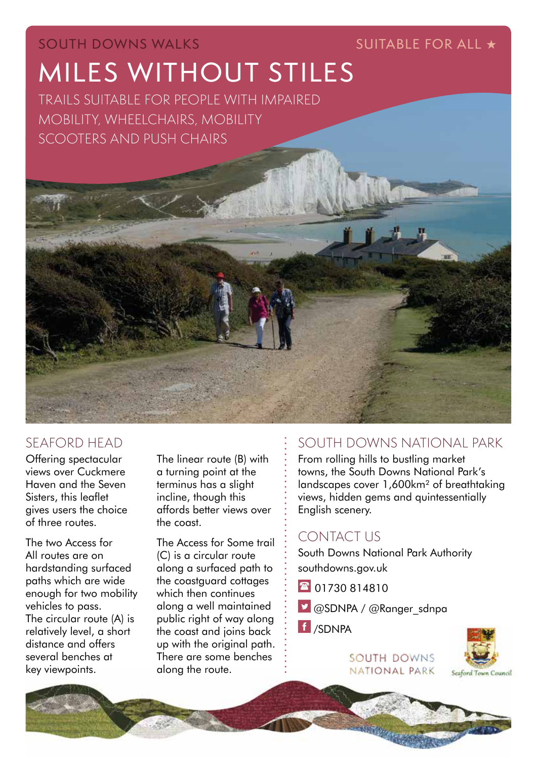# MILES WITHOUT STILES SOUTH DOWNS WALKS SUITABLE FOR ALL ★

TRAILS SUITABLE FOR PEOPLE WITH IMPAIRED MOBILITY, WHEELCHAIRS, MOBILITY

# SEAFORD HEAD

Offering spectacular views over Cuckmere Haven and the Seven Sisters, this leaflet gives users the choice of three routes.

The two Access for All routes are on hardstanding surfaced paths which are wide enough for two mobility vehicles to pass. The circular route (A) is relatively level, a short distance and offers several benches at key viewpoints.

The linear route (B) with a turning point at the terminus has a slight incline, though this affords better views over the coast.

The Access for Some trail (C) is a circular route along a surfaced path to the coastguard cottages which then continues along a well maintained public right of way along the coast and joins back up with the original path. There are some benches along the route.

### SOUTH DOWNS NATIONAL PARK

From rolling hills to bustling market towns, the South Downs National Park's landscapes cover 1,600km² of breathtaking views, hidden gems and quintessentially English scenery.

## CONTACT US

South Downs National Park Authority southdowns.gov.uk

- 130 814810
- @SDNPA / @Ranger\_sdnpa
- f /SDNPA

SOUTH DOWNS NATIONAL PARK